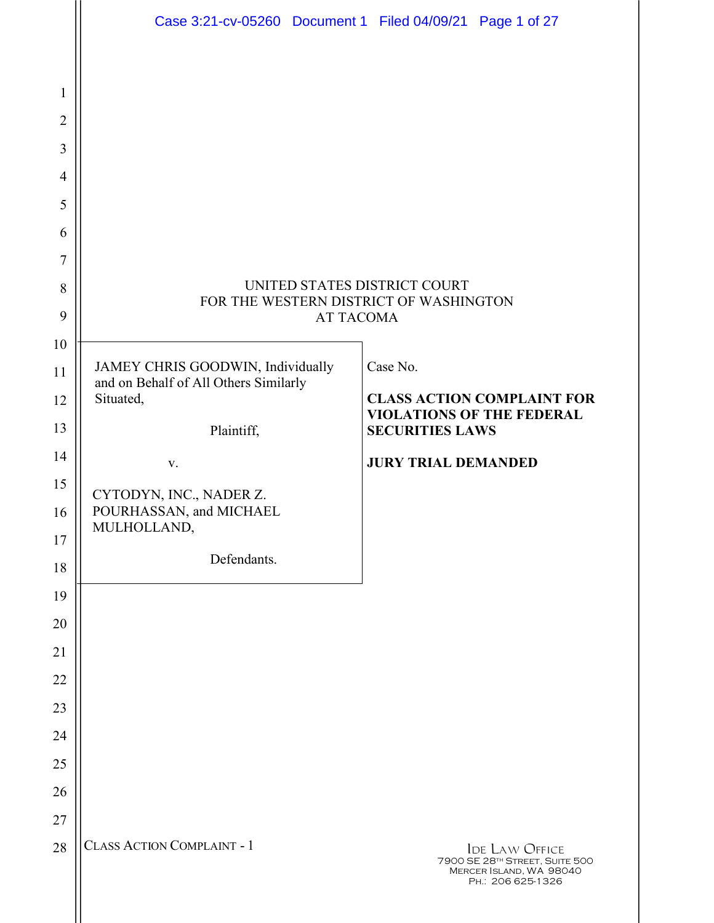|                | Case 3:21-cv-05260 Document 1 Filed 04/09/21 Page 1 of 27                  |                                                                                                         |  |
|----------------|----------------------------------------------------------------------------|---------------------------------------------------------------------------------------------------------|--|
|                |                                                                            |                                                                                                         |  |
| $\mathbf{1}$   |                                                                            |                                                                                                         |  |
| $\overline{2}$ |                                                                            |                                                                                                         |  |
| 3              |                                                                            |                                                                                                         |  |
| $\overline{4}$ |                                                                            |                                                                                                         |  |
| 5              |                                                                            |                                                                                                         |  |
| 6              |                                                                            |                                                                                                         |  |
| $\overline{7}$ |                                                                            |                                                                                                         |  |
| 8              | UNITED STATES DISTRICT COURT                                               |                                                                                                         |  |
| 9              | FOR THE WESTERN DISTRICT OF WASHINGTON<br><b>AT TACOMA</b>                 |                                                                                                         |  |
| 10             |                                                                            |                                                                                                         |  |
| 11             | JAMEY CHRIS GOODWIN, Individually<br>and on Behalf of All Others Similarly | Case No.                                                                                                |  |
| 12             | Situated,                                                                  | <b>CLASS ACTION COMPLAINT FOR</b>                                                                       |  |
| 13             | Plaintiff,                                                                 | <b>VIOLATIONS OF THE FEDERAL</b><br><b>SECURITIES LAWS</b>                                              |  |
| 14             | V.                                                                         | <b>JURY TRIAL DEMANDED</b>                                                                              |  |
| 15             | CYTODYN, INC., NADER Z.                                                    |                                                                                                         |  |
| 16             | POURHASSAN, and MICHAEL<br>MULHOLLAND,                                     |                                                                                                         |  |
| 17             | Defendants.                                                                |                                                                                                         |  |
| 18             |                                                                            |                                                                                                         |  |
| 19             |                                                                            |                                                                                                         |  |
| 20             |                                                                            |                                                                                                         |  |
| 21             |                                                                            |                                                                                                         |  |
| 22             |                                                                            |                                                                                                         |  |
| 23             |                                                                            |                                                                                                         |  |
| 24             |                                                                            |                                                                                                         |  |
| 25             |                                                                            |                                                                                                         |  |
| 26             |                                                                            |                                                                                                         |  |
| 27             | <b>CLASS ACTION COMPLAINT - 1</b>                                          |                                                                                                         |  |
| 28             |                                                                            | <b>IDE LAW OFFICE</b><br>7900 SE 28TH STREET, SUITE 500<br>MERCER ISLAND, WA 98040<br>PH.: 206 625-1326 |  |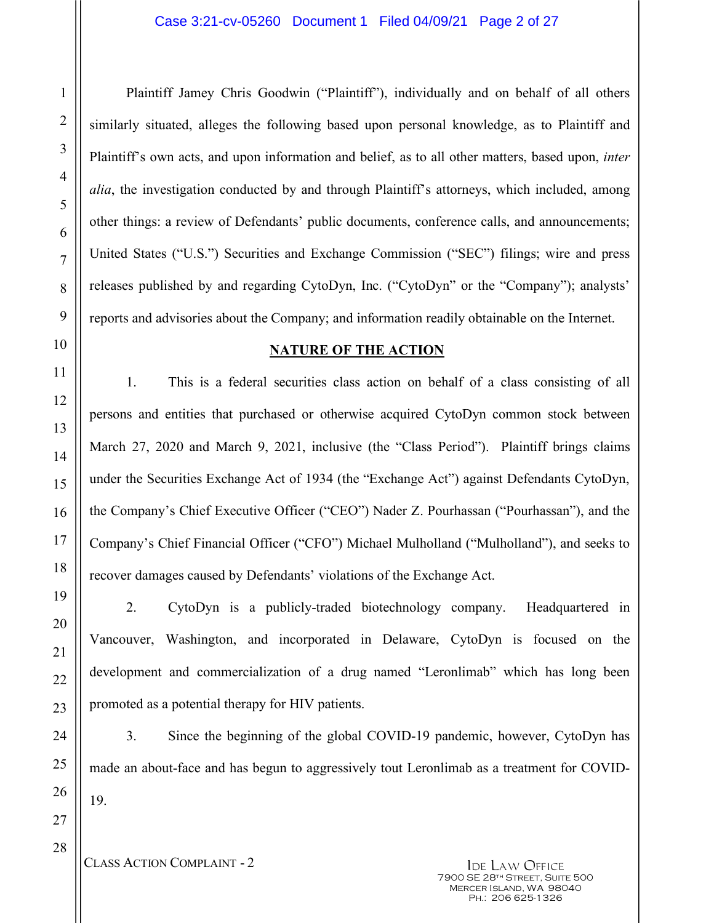Plaintiff Jamey Chris Goodwin ("Plaintiff"), individually and on behalf of all others similarly situated, alleges the following based upon personal knowledge, as to Plaintiff and Plaintiff's own acts, and upon information and belief, as to all other matters, based upon, *inter alia*, the investigation conducted by and through Plaintiff's attorneys, which included, among other things: a review of Defendants' public documents, conference calls, and announcements; United States ("U.S.") Securities and Exchange Commission ("SEC") filings; wire and press releases published by and regarding CytoDyn, Inc. ("CytoDyn" or the "Company"); analysts' reports and advisories about the Company; and information readily obtainable on the Internet.

### **NATURE OF THE ACTION**

1. This is a federal securities class action on behalf of a class consisting of all persons and entities that purchased or otherwise acquired CytoDyn common stock between March 27, 2020 and March 9, 2021, inclusive (the "Class Period"). Plaintiff brings claims under the Securities Exchange Act of 1934 (the "Exchange Act") against Defendants CytoDyn, the Company's Chief Executive Officer ("CEO") Nader Z. Pourhassan ("Pourhassan"), and the Company's Chief Financial Officer ("CFO") Michael Mulholland ("Mulholland"), and seeks to recover damages caused by Defendants' violations of the Exchange Act.

2. CytoDyn is a publicly-traded biotechnology company. Headquartered in Vancouver, Washington, and incorporated in Delaware, CytoDyn is focused on the development and commercialization of a drug named "Leronlimab" which has long been promoted as a potential therapy for HIV patients.

3. Since the beginning of the global COVID-19 pandemic, however, CytoDyn has made an about-face and has begun to aggressively tout Leronlimab as a treatment for COVID-19.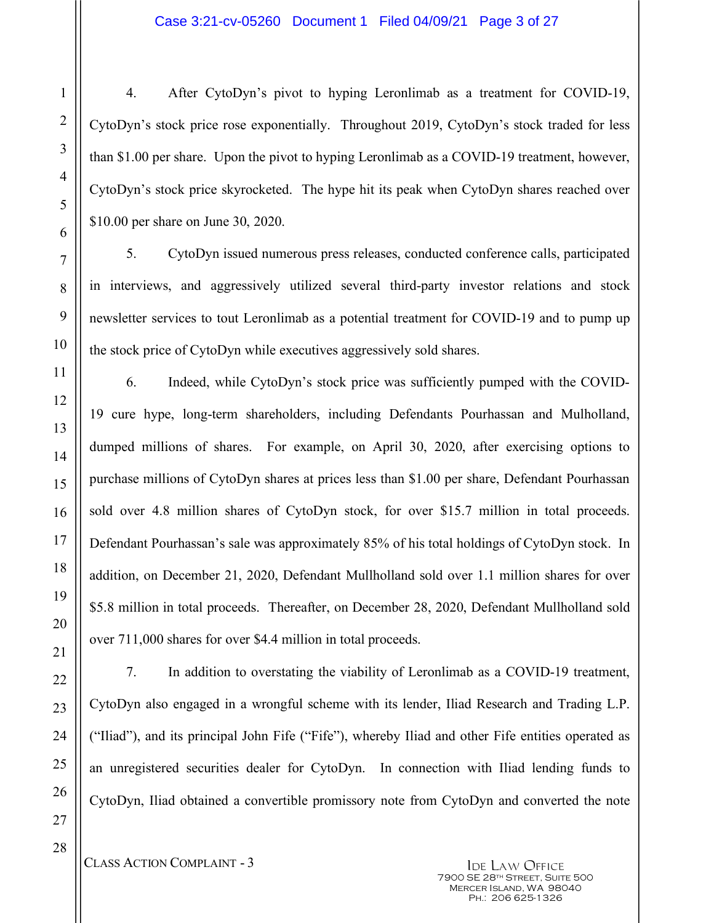4. After CytoDyn's pivot to hyping Leronlimab as a treatment for COVID-19, CytoDyn's stock price rose exponentially. Throughout 2019, CytoDyn's stock traded for less than \$1.00 per share. Upon the pivot to hyping Leronlimab as a COVID-19 treatment, however, CytoDyn's stock price skyrocketed. The hype hit its peak when CytoDyn shares reached over \$10.00 per share on June 30, 2020.

5. CytoDyn issued numerous press releases, conducted conference calls, participated in interviews, and aggressively utilized several third-party investor relations and stock newsletter services to tout Leronlimab as a potential treatment for COVID-19 and to pump up the stock price of CytoDyn while executives aggressively sold shares.

6. Indeed, while CytoDyn's stock price was sufficiently pumped with the COVID-19 cure hype, long-term shareholders, including Defendants Pourhassan and Mulholland, dumped millions of shares. For example, on April 30, 2020, after exercising options to purchase millions of CytoDyn shares at prices less than \$1.00 per share, Defendant Pourhassan sold over 4.8 million shares of CytoDyn stock, for over \$15.7 million in total proceeds. Defendant Pourhassan's sale was approximately 85% of his total holdings of CytoDyn stock. In addition, on December 21, 2020, Defendant Mullholland sold over 1.1 million shares for over \$5.8 million in total proceeds. Thereafter, on December 28, 2020, Defendant Mullholland sold over 711,000 shares for over \$4.4 million in total proceeds.

7. In addition to overstating the viability of Leronlimab as a COVID-19 treatment, CytoDyn also engaged in a wrongful scheme with its lender, Iliad Research and Trading L.P. ("Iliad"), and its principal John Fife ("Fife"), whereby Iliad and other Fife entities operated as an unregistered securities dealer for CytoDyn. In connection with Iliad lending funds to CytoDyn, Iliad obtained a convertible promissory note from CytoDyn and converted the note

CLASS ACTION COMPLAINT - 3 IDE LAW OFFICE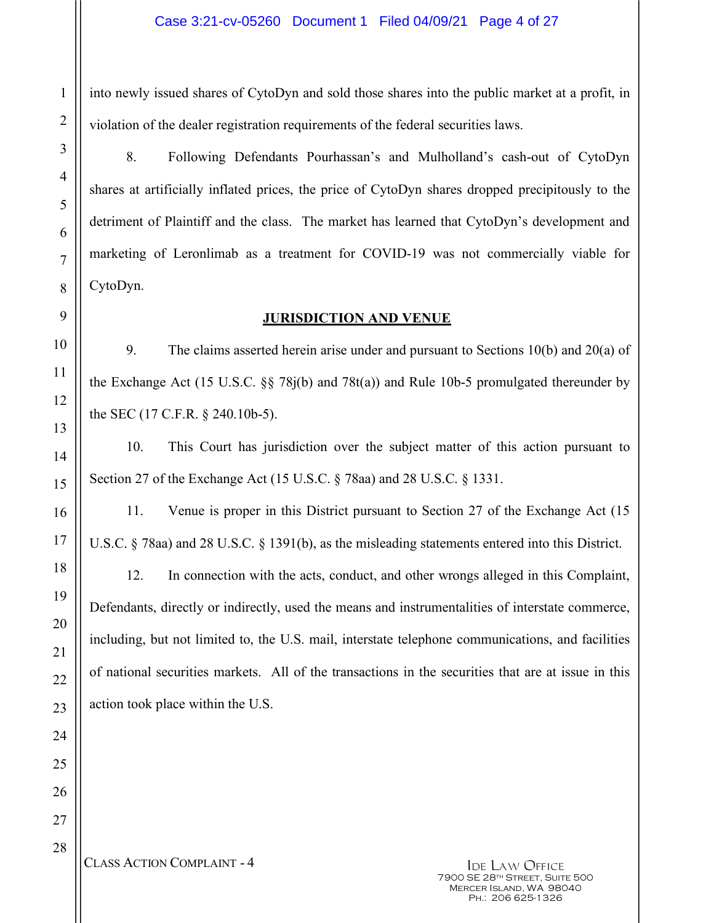into newly issued shares of CytoDyn and sold those shares into the public market at a profit, in violation of the dealer registration requirements of the federal securities laws.

8. Following Defendants Pourhassan's and Mulholland's cash-out of CytoDyn shares at artificially inflated prices, the price of CytoDyn shares dropped precipitously to the detriment of Plaintiff and the class. The market has learned that CytoDyn's development and marketing of Leronlimab as a treatment for COVID-19 was not commercially viable for CytoDyn.

## **JURISDICTION AND VENUE**

9. The claims asserted herein arise under and pursuant to Sections 10(b) and 20(a) of the Exchange Act (15 U.S.C. §§ 78j(b) and 78t(a)) and Rule 10b-5 promulgated thereunder by the SEC (17 C.F.R. § 240.10b-5).

10. This Court has jurisdiction over the subject matter of this action pursuant to Section 27 of the Exchange Act (15 U.S.C. § 78aa) and 28 U.S.C. § 1331.

11. Venue is proper in this District pursuant to Section 27 of the Exchange Act (15 U.S.C. § 78aa) and 28 U.S.C. § 1391(b), as the misleading statements entered into this District.

12. In connection with the acts, conduct, and other wrongs alleged in this Complaint, Defendants, directly or indirectly, used the means and instrumentalities of interstate commerce, including, but not limited to, the U.S. mail, interstate telephone communications, and facilities of national securities markets. All of the transactions in the securities that are at issue in this action took place within the U.S.

CLASS ACTION COMPLAINT - 4 IDE LAW OFFICE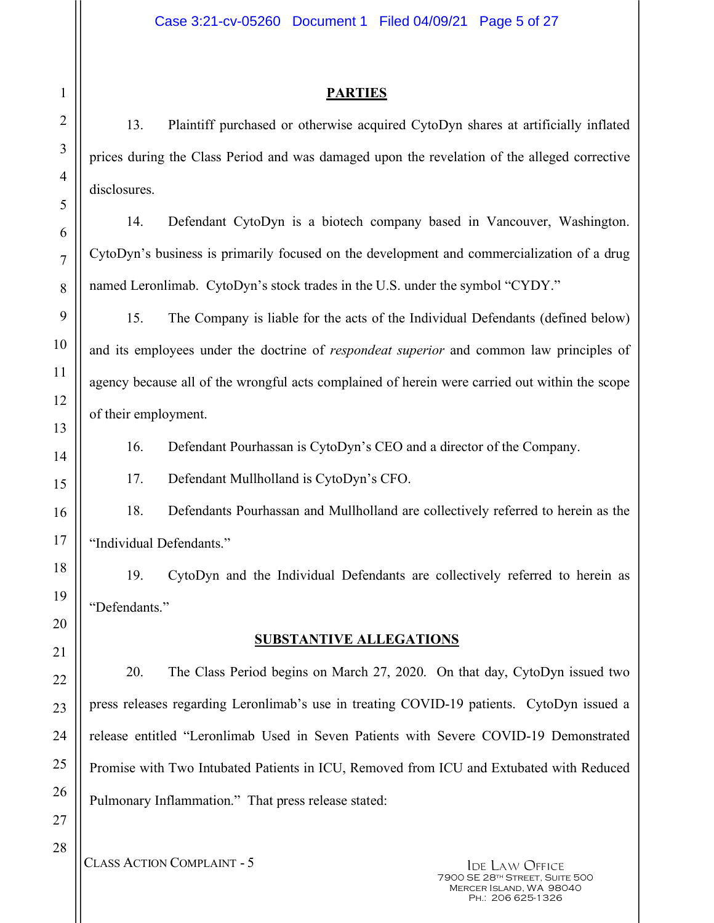## **PARTIES**

13. Plaintiff purchased or otherwise acquired CytoDyn shares at artificially inflated prices during the Class Period and was damaged upon the revelation of the alleged corrective disclosures.

14. Defendant CytoDyn is a biotech company based in Vancouver, Washington. CytoDyn's business is primarily focused on the development and commercialization of a drug named Leronlimab. CytoDyn's stock trades in the U.S. under the symbol "CYDY."

15. The Company is liable for the acts of the Individual Defendants (defined below) and its employees under the doctrine of *respondeat superior* and common law principles of agency because all of the wrongful acts complained of herein were carried out within the scope of their employment.

16. Defendant Pourhassan is CytoDyn's CEO and a director of the Company.

17. Defendant Mullholland is CytoDyn's CFO.

18. Defendants Pourhassan and Mullholland are collectively referred to herein as the "Individual Defendants."

19. CytoDyn and the Individual Defendants are collectively referred to herein as "Defendants."

# **SUBSTANTIVE ALLEGATIONS**

20. The Class Period begins on March 27, 2020. On that day, CytoDyn issued two press releases regarding Leronlimab's use in treating COVID-19 patients. CytoDyn issued a release entitled "Leronlimab Used in Seven Patients with Severe COVID-19 Demonstrated Promise with Two Intubated Patients in ICU, Removed from ICU and Extubated with Reduced Pulmonary Inflammation." That press release stated:

1

2

3

4

5

6

7

8

9

10

11

12

13

14

15

16

CLASS ACTION COMPLAINT - 5 IDE LAW OFFICE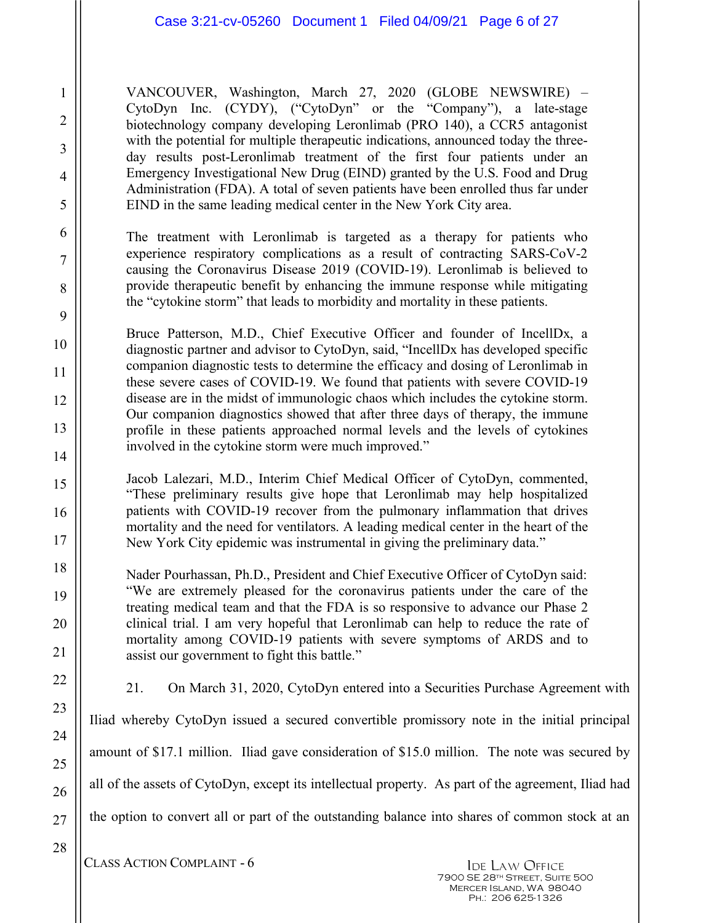VANCOUVER, Washington, March 27, 2020 (GLOBE NEWSWIRE) – CytoDyn Inc. (CYDY), ("CytoDyn" or the "Company"), a late-stage biotechnology company developing Leronlimab (PRO 140), a CCR5 antagonist with the potential for multiple therapeutic indications, announced today the threeday results post-Leronlimab treatment of the first four patients under an Emergency Investigational New Drug (EIND) granted by the U.S. Food and Drug Administration (FDA). A total of seven patients have been enrolled thus far under EIND in the same leading medical center in the New York City area.

The treatment with Leronlimab is targeted as a therapy for patients who experience respiratory complications as a result of contracting SARS-CoV-2 causing the Coronavirus Disease 2019 (COVID-19). Leronlimab is believed to provide therapeutic benefit by enhancing the immune response while mitigating the "cytokine storm" that leads to morbidity and mortality in these patients.

Bruce Patterson, M.D., Chief Executive Officer and founder of IncellDx, a diagnostic partner and advisor to CytoDyn, said, "IncellDx has developed specific companion diagnostic tests to determine the efficacy and dosing of Leronlimab in these severe cases of COVID-19. We found that patients with severe COVID-19 disease are in the midst of immunologic chaos which includes the cytokine storm. Our companion diagnostics showed that after three days of therapy, the immune profile in these patients approached normal levels and the levels of cytokines involved in the cytokine storm were much improved."

Jacob Lalezari, M.D., Interim Chief Medical Officer of CytoDyn, commented, "These preliminary results give hope that Leronlimab may help hospitalized patients with COVID-19 recover from the pulmonary inflammation that drives mortality and the need for ventilators. A leading medical center in the heart of the New York City epidemic was instrumental in giving the preliminary data."

Nader Pourhassan, Ph.D., President and Chief Executive Officer of CytoDyn said: "We are extremely pleased for the coronavirus patients under the care of the treating medical team and that the FDA is so responsive to advance our Phase 2 clinical trial. I am very hopeful that Leronlimab can help to reduce the rate of mortality among COVID-19 patients with severe symptoms of ARDS and to assist our government to fight this battle."

1

2

3

4

5

6

7

8

9

10

11

12

13

14

15

16

17

18

19

20

21

22

23

24

25

26

27

28

21. On March 31, 2020, CytoDyn entered into a Securities Purchase Agreement with

Iliad whereby CytoDyn issued a secured convertible promissory note in the initial principal amount of \$17.1 million. Iliad gave consideration of \$15.0 million. The note was secured by all of the assets of CytoDyn, except its intellectual property. As part of the agreement, Iliad had the option to convert all or part of the outstanding balance into shares of common stock at an

CLASS ACTION COMPLAINT - 6 IDE LAW OFFICE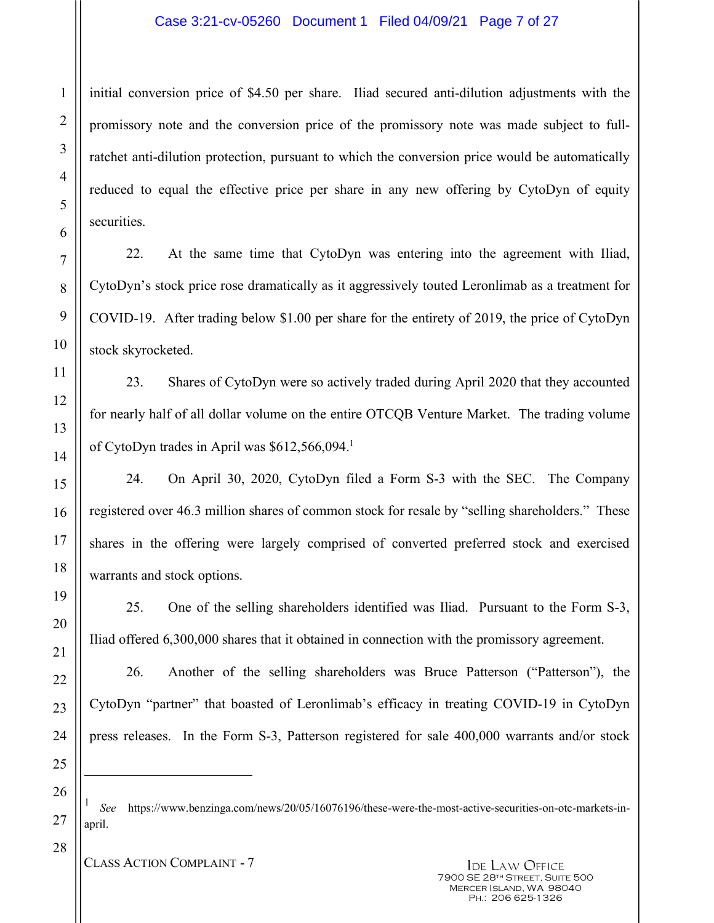### Case 3:21-cv-05260 Document 1 Filed 04/09/21 Page 7 of 27

initial conversion price of \$4.50 per share. Iliad secured anti-dilution adjustments with the promissory note and the conversion price of the promissory note was made subject to fullratchet anti-dilution protection, pursuant to which the conversion price would be automatically reduced to equal the effective price per share in any new offering by CytoDyn of equity securities.

22. At the same time that CytoDyn was entering into the agreement with Iliad, CytoDyn's stock price rose dramatically as it aggressively touted Leronlimab as a treatment for COVID-19. After trading below \$1.00 per share for the entirety of 2019, the price of CytoDyn stock skyrocketed.

23. Shares of CytoDyn were so actively traded during April 2020 that they accounted for nearly half of all dollar volume on the entire OTCQB Venture Market. The trading volume of CytoDyn trades in April was \$612,566,094.1

24. On April 30, 2020, CytoDyn filed a Form S-3 with the SEC. The Company registered over 46.3 million shares of common stock for resale by "selling shareholders." These shares in the offering were largely comprised of converted preferred stock and exercised warrants and stock options.

25. One of the selling shareholders identified was Iliad. Pursuant to the Form S-3, Iliad offered 6,300,000 shares that it obtained in connection with the promissory agreement.

26. Another of the selling shareholders was Bruce Patterson ("Patterson"), the CytoDyn "partner" that boasted of Leronlimab's efficacy in treating COVID-19 in CytoDyn press releases. In the Form S-3, Patterson registered for sale 400,000 warrants and/or stock

<sup>1</sup> *See* https://www.benzinga.com/news/20/05/16076196/these-were-the-most-active-securities-on-otc-markets-inapril.

-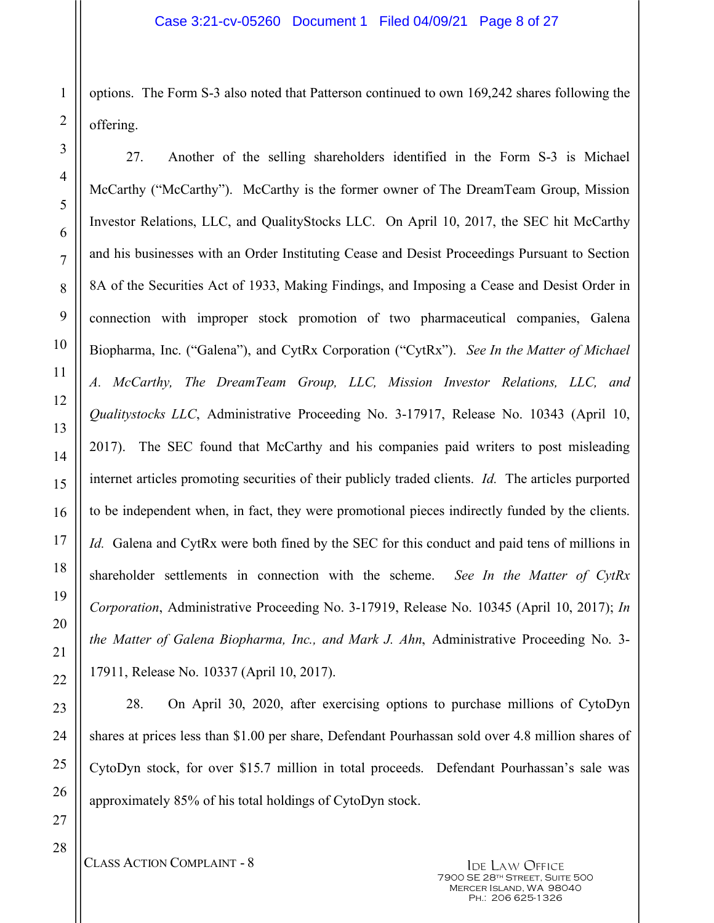options. The Form S-3 also noted that Patterson continued to own 169,242 shares following the offering.

27. Another of the selling shareholders identified in the Form S-3 is Michael McCarthy ("McCarthy"). McCarthy is the former owner of The DreamTeam Group, Mission Investor Relations, LLC, and QualityStocks LLC. On April 10, 2017, the SEC hit McCarthy and his businesses with an Order Instituting Cease and Desist Proceedings Pursuant to Section 8A of the Securities Act of 1933, Making Findings, and Imposing a Cease and Desist Order in connection with improper stock promotion of two pharmaceutical companies, Galena Biopharma, Inc. ("Galena"), and CytRx Corporation ("CytRx"). *See In the Matter of Michael A. McCarthy, The DreamTeam Group, LLC, Mission Investor Relations, LLC, and Qualitystocks LLC*, Administrative Proceeding No. 3-17917, Release No. 10343 (April 10, 2017). The SEC found that McCarthy and his companies paid writers to post misleading internet articles promoting securities of their publicly traded clients. *Id.* The articles purported to be independent when, in fact, they were promotional pieces indirectly funded by the clients. *Id.* Galena and CytRx were both fined by the SEC for this conduct and paid tens of millions in shareholder settlements in connection with the scheme. *See In the Matter of CytRx Corporation*, Administrative Proceeding No. 3-17919, Release No. 10345 (April 10, 2017); *In the Matter of Galena Biopharma, Inc., and Mark J. Ahn*, Administrative Proceeding No. 3- 17911, Release No. 10337 (April 10, 2017).

28. On April 30, 2020, after exercising options to purchase millions of CytoDyn shares at prices less than \$1.00 per share, Defendant Pourhassan sold over 4.8 million shares of CytoDyn stock, for over \$15.7 million in total proceeds. Defendant Pourhassan's sale was approximately 85% of his total holdings of CytoDyn stock.

CLASS ACTION COMPLAINT - 8 IDE LAW OFFICE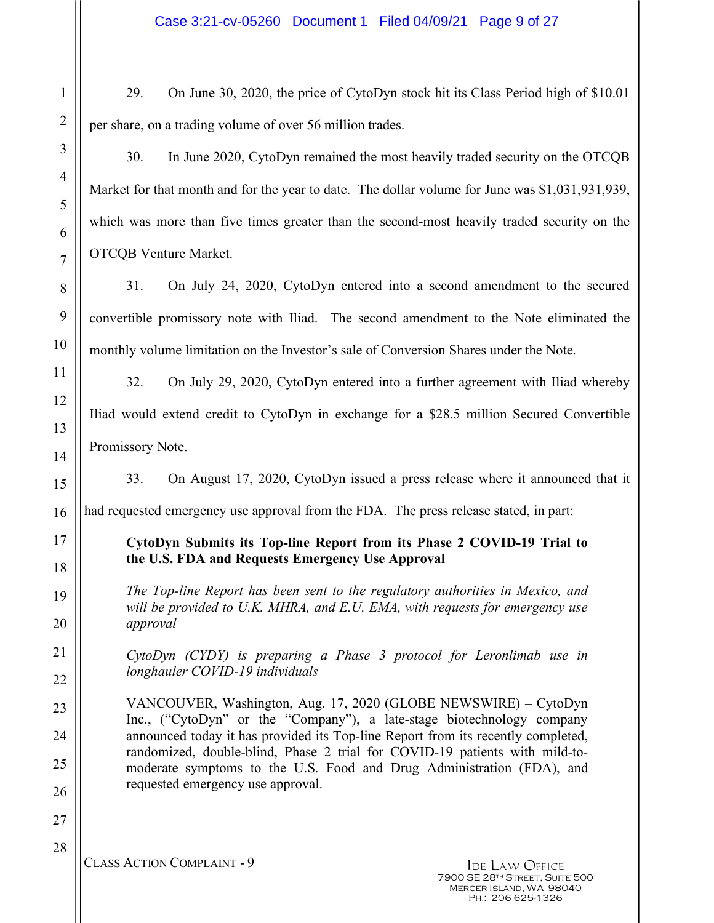29. On June 30, 2020, the price of CytoDyn stock hit its Class Period high of \$10.01 per share, on a trading volume of over 56 million trades.

1

2

3

4

5

6

7

8

9

10

11

12

13

14

15

16

17

18

19

20

21

22

23

24

25

26

27

28

30. In June 2020, CytoDyn remained the most heavily traded security on the OTCQB Market for that month and for the year to date. The dollar volume for June was \$1,031,931,939, which was more than five times greater than the second-most heavily traded security on the OTCQB Venture Market.

31. On July 24, 2020, CytoDyn entered into a second amendment to the secured convertible promissory note with Iliad. The second amendment to the Note eliminated the monthly volume limitation on the Investor's sale of Conversion Shares under the Note.

32. On July 29, 2020, CytoDyn entered into a further agreement with Iliad whereby Iliad would extend credit to CytoDyn in exchange for a \$28.5 million Secured Convertible Promissory Note.

33. On August 17, 2020, CytoDyn issued a press release where it announced that it

had requested emergency use approval from the FDA. The press release stated, in part:

## **CytoDyn Submits its Top-line Report from its Phase 2 COVID-19 Trial to the U.S. FDA and Requests Emergency Use Approval**

*The Top-line Report has been sent to the regulatory authorities in Mexico, and will be provided to U.K. MHRA, and E.U. EMA, with requests for emergency use approval*

*CytoDyn (CYDY) is preparing a Phase 3 protocol for Leronlimab use in longhauler COVID-19 individuals*

VANCOUVER, Washington, Aug. 17, 2020 (GLOBE NEWSWIRE) – CytoDyn Inc., ("CytoDyn" or the "Company"), a late-stage biotechnology company announced today it has provided its Top-line Report from its recently completed, randomized, double-blind, Phase 2 trial for COVID-19 patients with mild-tomoderate symptoms to the U.S. Food and Drug Administration (FDA), and requested emergency use approval.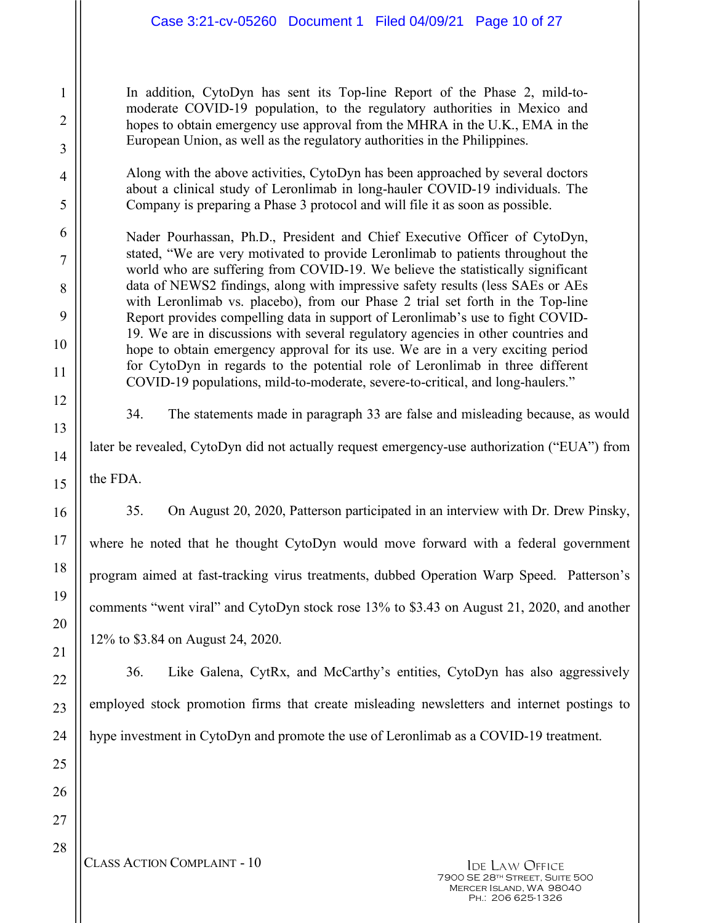In addition, CytoDyn has sent its Top-line Report of the Phase 2, mild-tomoderate COVID-19 population, to the regulatory authorities in Mexico and hopes to obtain emergency use approval from the MHRA in the U.K., EMA in the European Union, as well as the regulatory authorities in the Philippines.

Along with the above activities, CytoDyn has been approached by several doctors about a clinical study of Leronlimab in long-hauler COVID-19 individuals. The Company is preparing a Phase 3 protocol and will file it as soon as possible.

Nader Pourhassan, Ph.D., President and Chief Executive Officer of CytoDyn, stated, "We are very motivated to provide Leronlimab to patients throughout the world who are suffering from COVID-19. We believe the statistically significant data of NEWS2 findings, along with impressive safety results (less SAEs or AEs with Leronlimab vs. placebo), from our Phase 2 trial set forth in the Top-line Report provides compelling data in support of Leronlimab's use to fight COVID-19. We are in discussions with several regulatory agencies in other countries and hope to obtain emergency approval for its use. We are in a very exciting period for CytoDyn in regards to the potential role of Leronlimab in three different COVID-19 populations, mild-to-moderate, severe-to-critical, and long-haulers."

34. The statements made in paragraph 33 are false and misleading because, as would

later be revealed, CytoDyn did not actually request emergency-use authorization ("EUA") from

the FDA.

35. On August 20, 2020, Patterson participated in an interview with Dr. Drew Pinsky, where he noted that he thought CytoDyn would move forward with a federal government program aimed at fast-tracking virus treatments, dubbed Operation Warp Speed. Patterson's comments "went viral" and CytoDyn stock rose 13% to \$3.43 on August 21, 2020, and another 12% to \$3.84 on August 24, 2020.

36. Like Galena, CytRx, and McCarthy's entities, CytoDyn has also aggressively employed stock promotion firms that create misleading newsletters and internet postings to hype investment in CytoDyn and promote the use of Leronlimab as a COVID-19 treatment.

CLASS ACTION COMPLAINT - 10 IDE LAW OFFICE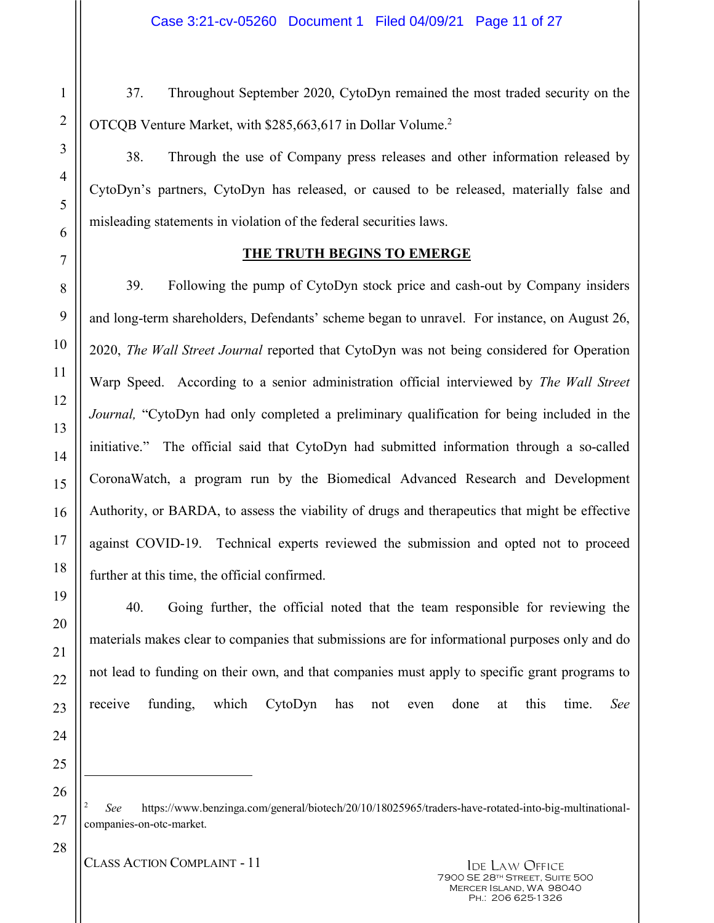37. Throughout September 2020, CytoDyn remained the most traded security on the OTCQB Venture Market, with \$285,663,617 in Dollar Volume.2

38. Through the use of Company press releases and other information released by CytoDyn's partners, CytoDyn has released, or caused to be released, materially false and misleading statements in violation of the federal securities laws.

## **THE TRUTH BEGINS TO EMERGE**

39. Following the pump of CytoDyn stock price and cash-out by Company insiders and long-term shareholders, Defendants' scheme began to unravel. For instance, on August 26, 2020, *The Wall Street Journal* reported that CytoDyn was not being considered for Operation Warp Speed. According to a senior administration official interviewed by *The Wall Street Journal,* "CytoDyn had only completed a preliminary qualification for being included in the initiative." The official said that CytoDyn had submitted information through a so-called CoronaWatch, a program run by the Biomedical Advanced Research and Development Authority, or BARDA, to assess the viability of drugs and therapeutics that might be effective against COVID-19. Technical experts reviewed the submission and opted not to proceed further at this time, the official confirmed.

40. Going further, the official noted that the team responsible for reviewing the materials makes clear to companies that submissions are for informational purposes only and do not lead to funding on their own, and that companies must apply to specific grant programs to receive funding, which CytoDyn has not even done at this time. *See* 

-

<sup>2</sup> *See* https://www.benzinga.com/general/biotech/20/10/18025965/traders-have-rotated-into-big-multinationalcompanies-on-otc-market.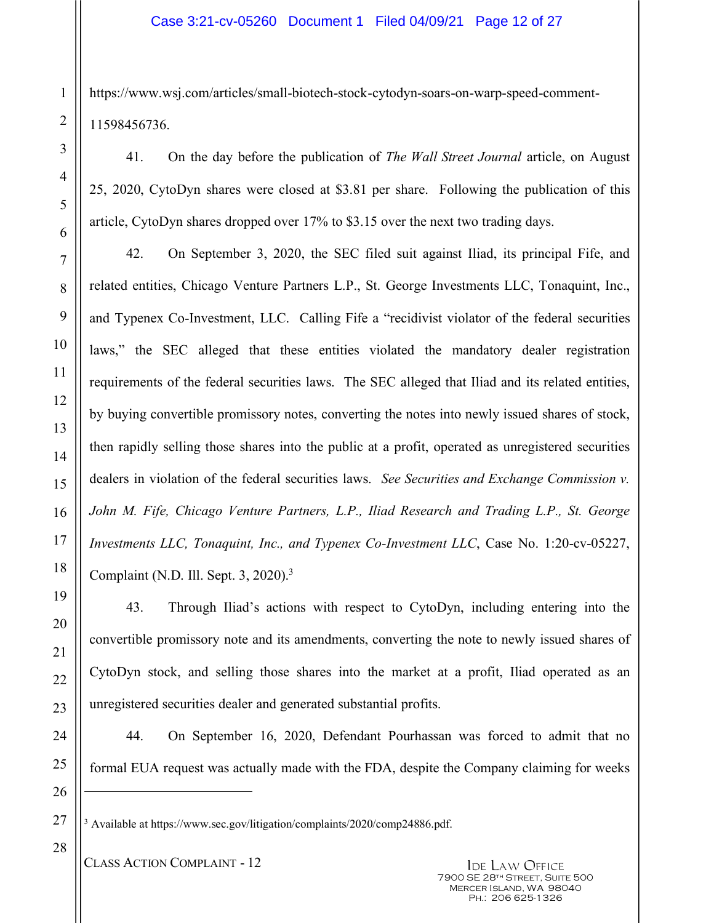https://www.wsj.com/articles/small-biotech-stock-cytodyn-soars-on-warp-speed-comment-11598456736.

41. On the day before the publication of *The Wall Street Journal* article, on August 25, 2020, CytoDyn shares were closed at \$3.81 per share. Following the publication of this article, CytoDyn shares dropped over 17% to \$3.15 over the next two trading days.

42. On September 3, 2020, the SEC filed suit against Iliad, its principal Fife, and related entities, Chicago Venture Partners L.P., St. George Investments LLC, Tonaquint, Inc., and Typenex Co-Investment, LLC. Calling Fife a "recidivist violator of the federal securities laws," the SEC alleged that these entities violated the mandatory dealer registration requirements of the federal securities laws. The SEC alleged that Iliad and its related entities, by buying convertible promissory notes, converting the notes into newly issued shares of stock, then rapidly selling those shares into the public at a profit, operated as unregistered securities dealers in violation of the federal securities laws. *See Securities and Exchange Commission v. John M. Fife, Chicago Venture Partners, L.P., Iliad Research and Trading L.P., St. George Investments LLC, Tonaquint, Inc., and Typenex Co-Investment LLC*, Case No. 1:20-cv-05227, Complaint (N.D. Ill. Sept. 3, 2020).<sup>3</sup>

43. Through Iliad's actions with respect to CytoDyn, including entering into the convertible promissory note and its amendments, converting the note to newly issued shares of CytoDyn stock, and selling those shares into the market at a profit, Iliad operated as an unregistered securities dealer and generated substantial profits.

44. On September 16, 2020, Defendant Pourhassan was forced to admit that no formal EUA request was actually made with the FDA, despite the Company claiming for weeks

1

<sup>&</sup>lt;sup>3</sup> Available at https://www.sec.gov/litigation/complaints/2020/comp24886.pdf.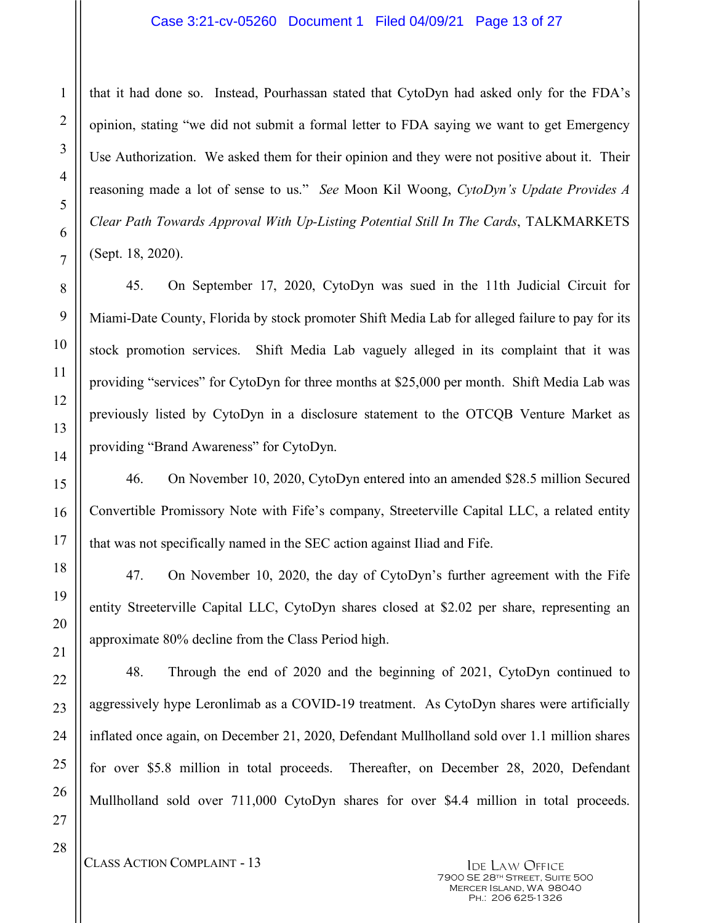that it had done so. Instead, Pourhassan stated that CytoDyn had asked only for the FDA's opinion, stating "we did not submit a formal letter to FDA saying we want to get Emergency Use Authorization. We asked them for their opinion and they were not positive about it. Their reasoning made a lot of sense to us." *See* Moon Kil Woong, *CytoDyn's Update Provides A Clear Path Towards Approval With Up-Listing Potential Still In The Cards*, TALKMARKETS (Sept. 18, 2020).

45. On September 17, 2020, CytoDyn was sued in the 11th Judicial Circuit for Miami-Date County, Florida by stock promoter Shift Media Lab for alleged failure to pay for its stock promotion services. Shift Media Lab vaguely alleged in its complaint that it was providing "services" for CytoDyn for three months at \$25,000 per month. Shift Media Lab was previously listed by CytoDyn in a disclosure statement to the OTCQB Venture Market as providing "Brand Awareness" for CytoDyn.

46. On November 10, 2020, CytoDyn entered into an amended \$28.5 million Secured Convertible Promissory Note with Fife's company, Streeterville Capital LLC, a related entity that was not specifically named in the SEC action against Iliad and Fife.

47. On November 10, 2020, the day of CytoDyn's further agreement with the Fife entity Streeterville Capital LLC, CytoDyn shares closed at \$2.02 per share, representing an approximate 80% decline from the Class Period high.

48. Through the end of 2020 and the beginning of 2021, CytoDyn continued to aggressively hype Leronlimab as a COVID-19 treatment. As CytoDyn shares were artificially inflated once again, on December 21, 2020, Defendant Mullholland sold over 1.1 million shares for over \$5.8 million in total proceeds. Thereafter, on December 28, 2020, Defendant Mullholland sold over 711,000 CytoDyn shares for over \$4.4 million in total proceeds.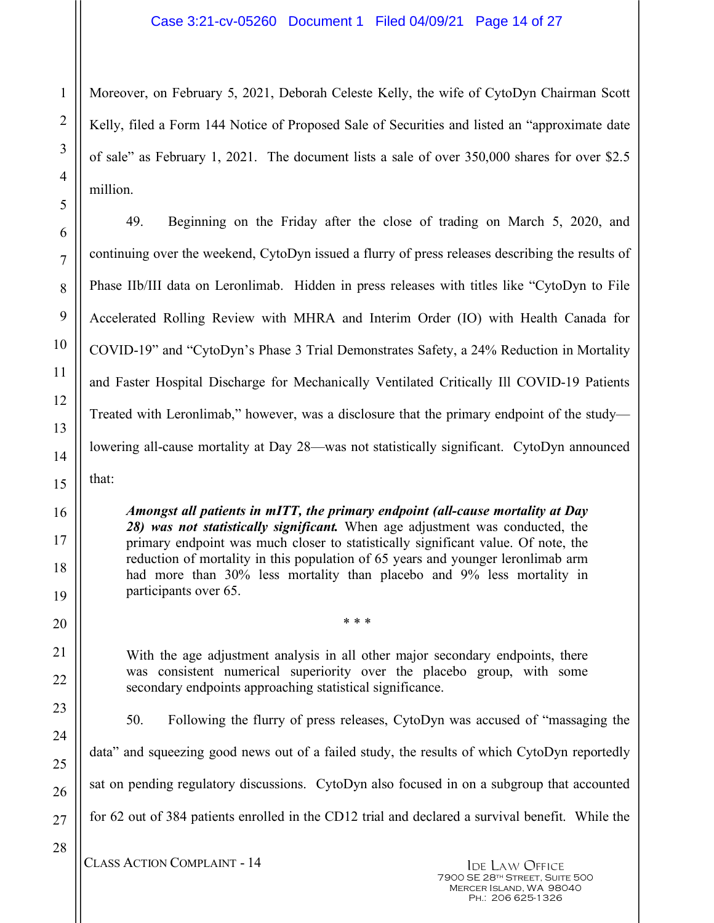Moreover, on February 5, 2021, Deborah Celeste Kelly, the wife of CytoDyn Chairman Scott Kelly, filed a Form 144 Notice of Proposed Sale of Securities and listed an "approximate date of sale" as February 1, 2021. The document lists a sale of over 350,000 shares for over \$2.5 million.

49. Beginning on the Friday after the close of trading on March 5, 2020, and continuing over the weekend, CytoDyn issued a flurry of press releases describing the results of Phase IIb/III data on Leronlimab. Hidden in press releases with titles like "CytoDyn to File Accelerated Rolling Review with MHRA and Interim Order (IO) with Health Canada for COVID-19" and "CytoDyn's Phase 3 Trial Demonstrates Safety, a 24% Reduction in Mortality and Faster Hospital Discharge for Mechanically Ventilated Critically Ill COVID-19 Patients Treated with Leronlimab," however, was a disclosure that the primary endpoint of the study lowering all-cause mortality at Day 28—was not statistically significant. CytoDyn announced that:

*Amongst all patients in mITT, the primary endpoint (all-cause mortality at Day 28) was not statistically significant.* When age adjustment was conducted, the primary endpoint was much closer to statistically significant value. Of note, the reduction of mortality in this population of 65 years and younger leronlimab arm had more than 30% less mortality than placebo and 9% less mortality in participants over 65.

With the age adjustment analysis in all other major secondary endpoints, there was consistent numerical superiority over the placebo group, with some secondary endpoints approaching statistical significance.

\* \* \*

50. Following the flurry of press releases, CytoDyn was accused of "massaging the data" and squeezing good news out of a failed study, the results of which CytoDyn reportedly sat on pending regulatory discussions. CytoDyn also focused in on a subgroup that accounted for 62 out of 384 patients enrolled in the CD12 trial and declared a survival benefit. While the

CLASS ACTION COMPLAINT - 14 IDE LAW OFFICE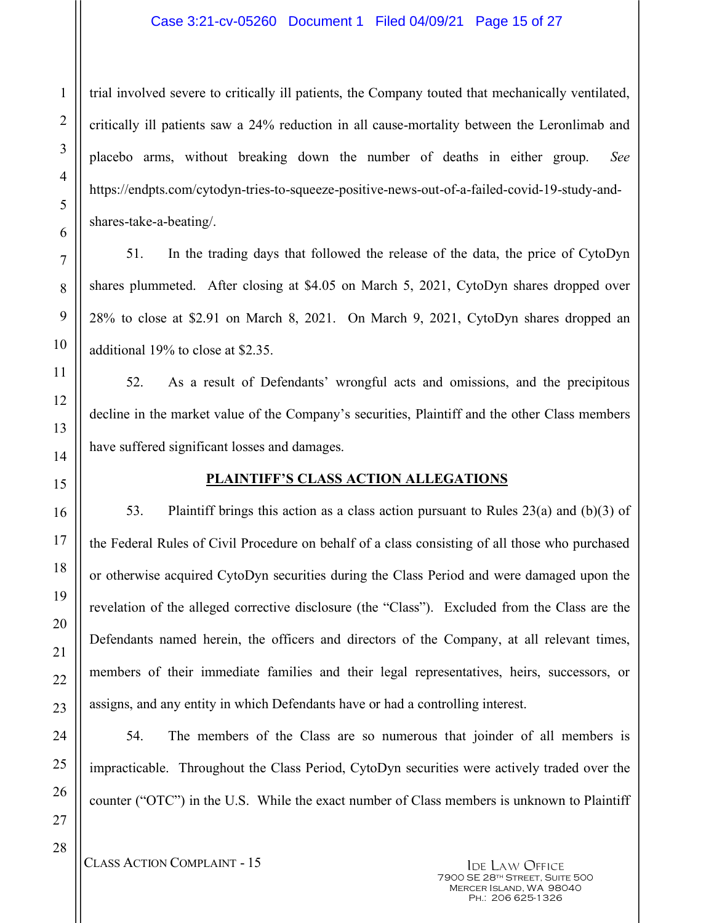### Case 3:21-cv-05260 Document 1 Filed 04/09/21 Page 15 of 27

trial involved severe to critically ill patients, the Company touted that mechanically ventilated, critically ill patients saw a 24% reduction in all cause-mortality between the Leronlimab and placebo arms, without breaking down the number of deaths in either group. *See* https://endpts.com/cytodyn-tries-to-squeeze-positive-news-out-of-a-failed-covid-19-study-andshares-take-a-beating/.

51. In the trading days that followed the release of the data, the price of CytoDyn shares plummeted. After closing at \$4.05 on March 5, 2021, CytoDyn shares dropped over 28% to close at \$2.91 on March 8, 2021. On March 9, 2021, CytoDyn shares dropped an additional 19% to close at \$2.35.

52. As a result of Defendants' wrongful acts and omissions, and the precipitous decline in the market value of the Company's securities, Plaintiff and the other Class members have suffered significant losses and damages.

### **PLAINTIFF'S CLASS ACTION ALLEGATIONS**

53. Plaintiff brings this action as a class action pursuant to Rules 23(a) and (b)(3) of the Federal Rules of Civil Procedure on behalf of a class consisting of all those who purchased or otherwise acquired CytoDyn securities during the Class Period and were damaged upon the revelation of the alleged corrective disclosure (the "Class"). Excluded from the Class are the Defendants named herein, the officers and directors of the Company, at all relevant times, members of their immediate families and their legal representatives, heirs, successors, or assigns, and any entity in which Defendants have or had a controlling interest.

54. The members of the Class are so numerous that joinder of all members is impracticable. Throughout the Class Period, CytoDyn securities were actively traded over the counter ("OTC") in the U.S. While the exact number of Class members is unknown to Plaintiff

CLASS ACTION COMPLAINT - 15 IDE LAW OFFICE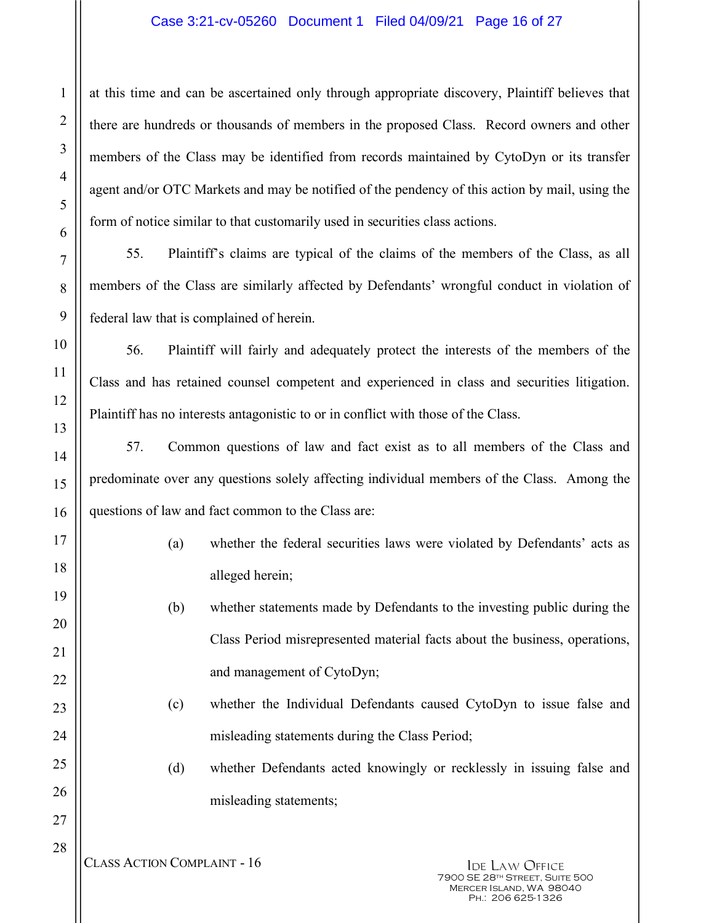### Case 3:21-cv-05260 Document 1 Filed 04/09/21 Page 16 of 27

at this time and can be ascertained only through appropriate discovery, Plaintiff believes that there are hundreds or thousands of members in the proposed Class. Record owners and other members of the Class may be identified from records maintained by CytoDyn or its transfer agent and/or OTC Markets and may be notified of the pendency of this action by mail, using the form of notice similar to that customarily used in securities class actions.

55. Plaintiff's claims are typical of the claims of the members of the Class, as all members of the Class are similarly affected by Defendants' wrongful conduct in violation of federal law that is complained of herein.

56. Plaintiff will fairly and adequately protect the interests of the members of the Class and has retained counsel competent and experienced in class and securities litigation. Plaintiff has no interests antagonistic to or in conflict with those of the Class.

57. Common questions of law and fact exist as to all members of the Class and predominate over any questions solely affecting individual members of the Class. Among the questions of law and fact common to the Class are:

- (a) whether the federal securities laws were violated by Defendants' acts as alleged herein;
- (b) whether statements made by Defendants to the investing public during the Class Period misrepresented material facts about the business, operations, and management of CytoDyn;
- (c) whether the Individual Defendants caused CytoDyn to issue false and misleading statements during the Class Period;
- (d) whether Defendants acted knowingly or recklessly in issuing false and misleading statements;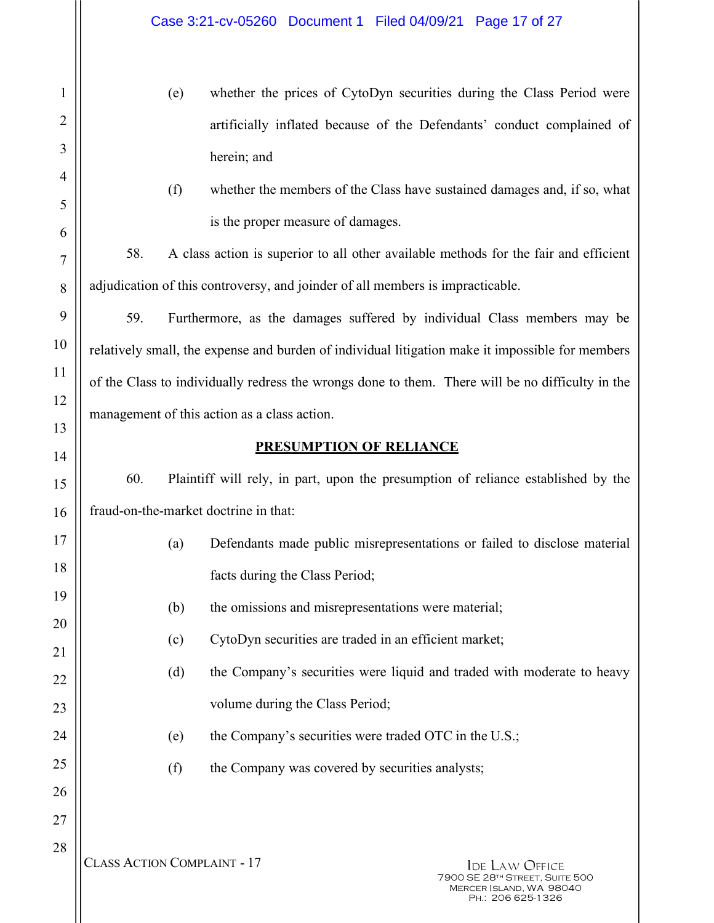- (e) whether the prices of CytoDyn securities during the Class Period were artificially inflated because of the Defendants' conduct complained of herein; and
- (f) whether the members of the Class have sustained damages and, if so, what is the proper measure of damages.

58. A class action is superior to all other available methods for the fair and efficient adjudication of this controversy, and joinder of all members is impracticable.

59. Furthermore, as the damages suffered by individual Class members may be relatively small, the expense and burden of individual litigation make it impossible for members of the Class to individually redress the wrongs done to them. There will be no difficulty in the management of this action as a class action.

## **PRESUMPTION OF RELIANCE**

60. Plaintiff will rely, in part, upon the presumption of reliance established by the fraud-on-the-market doctrine in that:

- (a) Defendants made public misrepresentations or failed to disclose material facts during the Class Period;
	- (b) the omissions and misrepresentations were material;
	- (c) CytoDyn securities are traded in an efficient market;
- (d) the Company's securities were liquid and traded with moderate to heavy volume during the Class Period;
	- (e) the Company's securities were traded OTC in the U.S.;
	- (f) the Company was covered by securities analysts;

1

2

3

4

5

6

7

8

9

10

11

12

13

14

15

16

17

18

19

20

21

22

23

24

25

26

27

28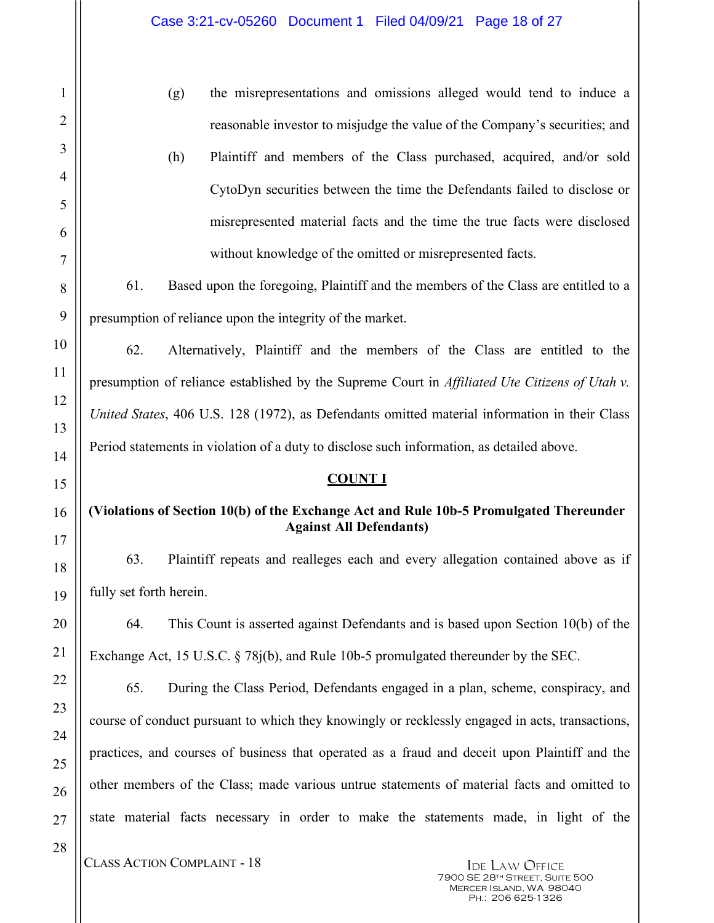| $\mathbf{1}$         |
|----------------------|
|                      |
|                      |
| 4                    |
| 5                    |
| 6                    |
| $\overline{7}$       |
| 8                    |
| 9                    |
| 10                   |
| 11                   |
| 1                    |
| 13                   |
| $1\overline{ }$<br>4 |
| 15                   |
| 16                   |
| $\frac{1}{7}$        |
| 18                   |
| 19                   |
| 20                   |
| $\overline{21}$      |
| 22                   |
| 23                   |
| 24                   |
| 25                   |
| 26                   |
| 27                   |
| 28                   |

(g) the misrepresentations and omissions alleged would tend to induce a reasonable investor to misjudge the value of the Company's securities; and

(h) Plaintiff and members of the Class purchased, acquired, and/or sold CytoDyn securities between the time the Defendants failed to disclose or misrepresented material facts and the time the true facts were disclosed without knowledge of the omitted or misrepresented facts.

61. Based upon the foregoing, Plaintiff and the members of the Class are entitled to a presumption of reliance upon the integrity of the market.

62. Alternatively, Plaintiff and the members of the Class are entitled to the presumption of reliance established by the Supreme Court in *Affiliated Ute Citizens of Utah v. United States*, 406 U.S. 128 (1972), as Defendants omitted material information in their Class Period statements in violation of a duty to disclose such information, as detailed above.

### **COUNT I**

## **(Violations of Section 10(b) of the Exchange Act and Rule 10b-5 Promulgated Thereunder Against All Defendants)**

63. Plaintiff repeats and realleges each and every allegation contained above as if fully set forth herein.

64. This Count is asserted against Defendants and is based upon Section 10(b) of the Exchange Act, 15 U.S.C. § 78j(b), and Rule 10b-5 promulgated thereunder by the SEC.

65. During the Class Period, Defendants engaged in a plan, scheme, conspiracy, and course of conduct pursuant to which they knowingly or recklessly engaged in acts, transactions, practices, and courses of business that operated as a fraud and deceit upon Plaintiff and the other members of the Class; made various untrue statements of material facts and omitted to state material facts necessary in order to make the statements made, in light of the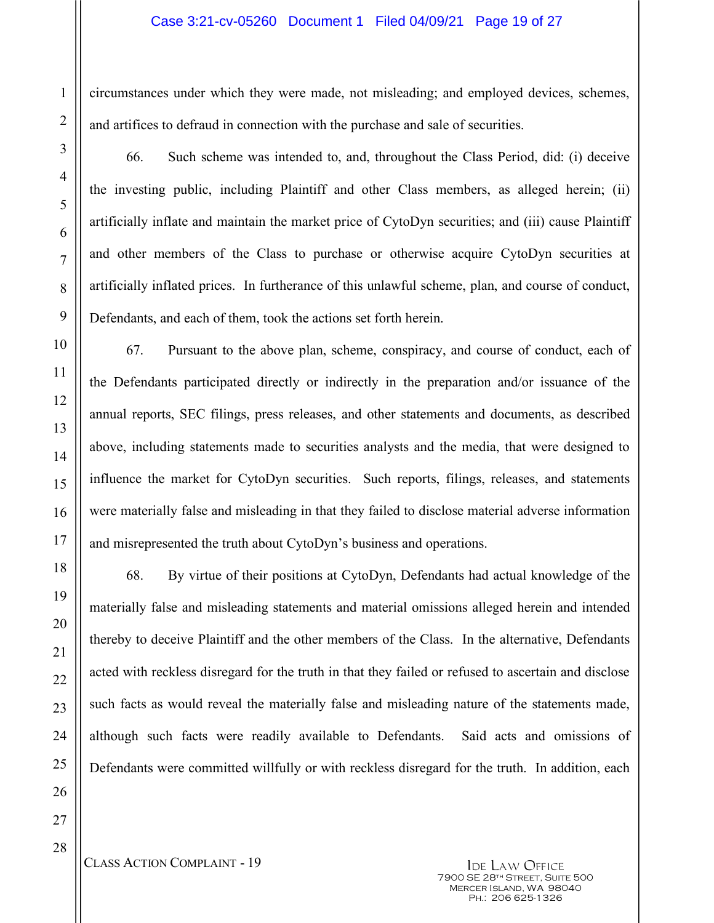#### Case 3:21-cv-05260 Document 1 Filed 04/09/21 Page 19 of 27

circumstances under which they were made, not misleading; and employed devices, schemes, and artifices to defraud in connection with the purchase and sale of securities.

66. Such scheme was intended to, and, throughout the Class Period, did: (i) deceive the investing public, including Plaintiff and other Class members, as alleged herein; (ii) artificially inflate and maintain the market price of CytoDyn securities; and (iii) cause Plaintiff and other members of the Class to purchase or otherwise acquire CytoDyn securities at artificially inflated prices. In furtherance of this unlawful scheme, plan, and course of conduct, Defendants, and each of them, took the actions set forth herein.

67. Pursuant to the above plan, scheme, conspiracy, and course of conduct, each of the Defendants participated directly or indirectly in the preparation and/or issuance of the annual reports, SEC filings, press releases, and other statements and documents, as described above, including statements made to securities analysts and the media, that were designed to influence the market for CytoDyn securities. Such reports, filings, releases, and statements were materially false and misleading in that they failed to disclose material adverse information and misrepresented the truth about CytoDyn's business and operations.

68. By virtue of their positions at CytoDyn, Defendants had actual knowledge of the materially false and misleading statements and material omissions alleged herein and intended thereby to deceive Plaintiff and the other members of the Class. In the alternative, Defendants acted with reckless disregard for the truth in that they failed or refused to ascertain and disclose such facts as would reveal the materially false and misleading nature of the statements made, although such facts were readily available to Defendants. Said acts and omissions of Defendants were committed willfully or with reckless disregard for the truth. In addition, each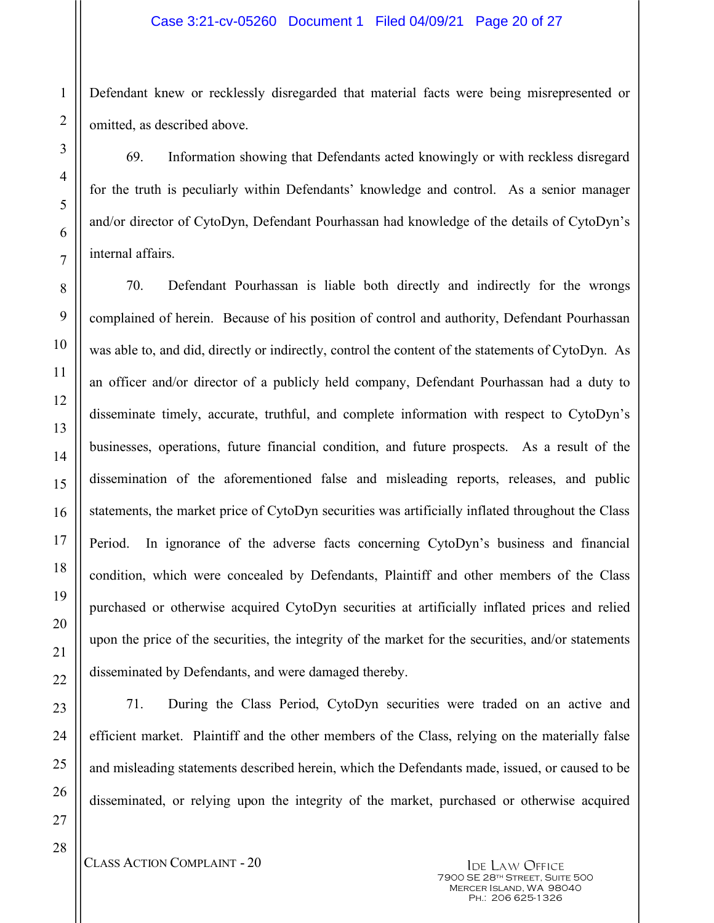#### Case 3:21-cv-05260 Document 1 Filed 04/09/21 Page 20 of 27

Defendant knew or recklessly disregarded that material facts were being misrepresented or omitted, as described above.

69. Information showing that Defendants acted knowingly or with reckless disregard for the truth is peculiarly within Defendants' knowledge and control. As a senior manager and/or director of CytoDyn, Defendant Pourhassan had knowledge of the details of CytoDyn's internal affairs.

70. Defendant Pourhassan is liable both directly and indirectly for the wrongs complained of herein. Because of his position of control and authority, Defendant Pourhassan was able to, and did, directly or indirectly, control the content of the statements of CytoDyn. As an officer and/or director of a publicly held company, Defendant Pourhassan had a duty to disseminate timely, accurate, truthful, and complete information with respect to CytoDyn's businesses, operations, future financial condition, and future prospects. As a result of the dissemination of the aforementioned false and misleading reports, releases, and public statements, the market price of CytoDyn securities was artificially inflated throughout the Class Period. In ignorance of the adverse facts concerning CytoDyn's business and financial condition, which were concealed by Defendants, Plaintiff and other members of the Class purchased or otherwise acquired CytoDyn securities at artificially inflated prices and relied upon the price of the securities, the integrity of the market for the securities, and/or statements disseminated by Defendants, and were damaged thereby.

71. During the Class Period, CytoDyn securities were traded on an active and efficient market. Plaintiff and the other members of the Class, relying on the materially false and misleading statements described herein, which the Defendants made, issued, or caused to be disseminated, or relying upon the integrity of the market, purchased or otherwise acquired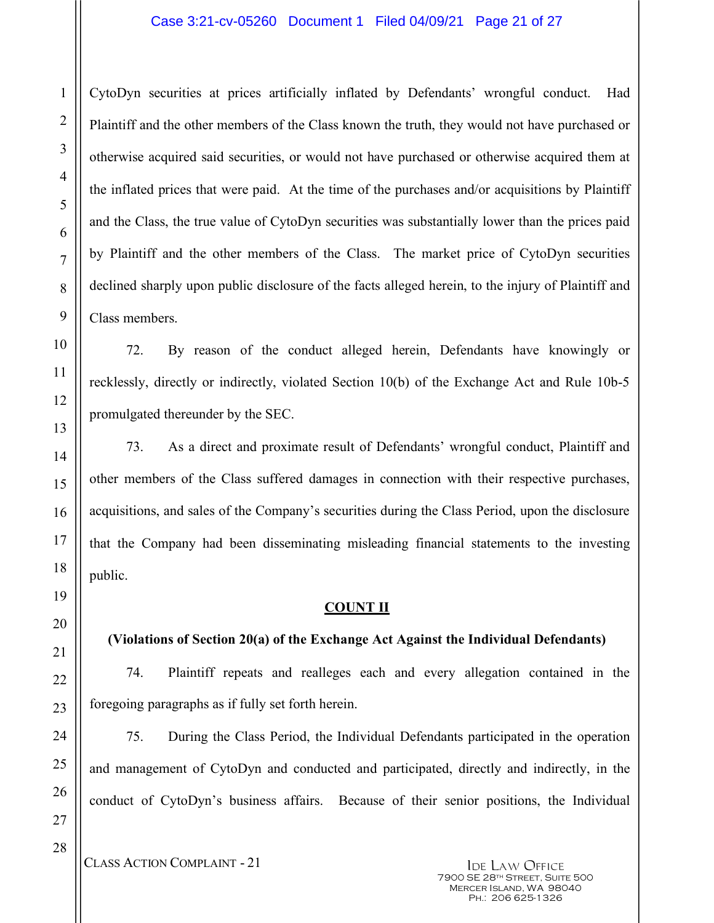### Case 3:21-cv-05260 Document 1 Filed 04/09/21 Page 21 of 27

CytoDyn securities at prices artificially inflated by Defendants' wrongful conduct. Had Plaintiff and the other members of the Class known the truth, they would not have purchased or otherwise acquired said securities, or would not have purchased or otherwise acquired them at the inflated prices that were paid. At the time of the purchases and/or acquisitions by Plaintiff and the Class, the true value of CytoDyn securities was substantially lower than the prices paid by Plaintiff and the other members of the Class. The market price of CytoDyn securities declined sharply upon public disclosure of the facts alleged herein, to the injury of Plaintiff and Class members.

72. By reason of the conduct alleged herein, Defendants have knowingly or recklessly, directly or indirectly, violated Section 10(b) of the Exchange Act and Rule 10b-5 promulgated thereunder by the SEC.

73. As a direct and proximate result of Defendants' wrongful conduct, Plaintiff and other members of the Class suffered damages in connection with their respective purchases, acquisitions, and sales of the Company's securities during the Class Period, upon the disclosure that the Company had been disseminating misleading financial statements to the investing public.

#### **COUNT II**

## **(Violations of Section 20(a) of the Exchange Act Against the Individual Defendants)**

74. Plaintiff repeats and realleges each and every allegation contained in the foregoing paragraphs as if fully set forth herein.

75. During the Class Period, the Individual Defendants participated in the operation and management of CytoDyn and conducted and participated, directly and indirectly, in the conduct of CytoDyn's business affairs. Because of their senior positions, the Individual

CLASS ACTION COMPLAINT - 21 IDE LAW OFFICE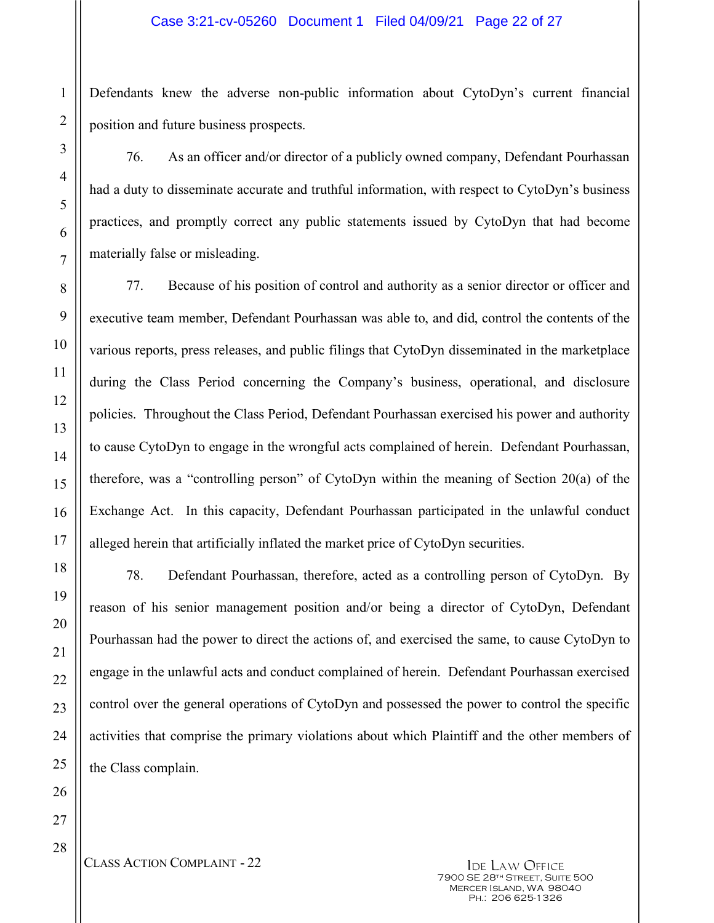Defendants knew the adverse non-public information about CytoDyn's current financial position and future business prospects.

76. As an officer and/or director of a publicly owned company, Defendant Pourhassan had a duty to disseminate accurate and truthful information, with respect to CytoDyn's business practices, and promptly correct any public statements issued by CytoDyn that had become materially false or misleading.

77. Because of his position of control and authority as a senior director or officer and executive team member, Defendant Pourhassan was able to, and did, control the contents of the various reports, press releases, and public filings that CytoDyn disseminated in the marketplace during the Class Period concerning the Company's business, operational, and disclosure policies. Throughout the Class Period, Defendant Pourhassan exercised his power and authority to cause CytoDyn to engage in the wrongful acts complained of herein. Defendant Pourhassan, therefore, was a "controlling person" of CytoDyn within the meaning of Section 20(a) of the Exchange Act. In this capacity, Defendant Pourhassan participated in the unlawful conduct alleged herein that artificially inflated the market price of CytoDyn securities.

78. Defendant Pourhassan, therefore, acted as a controlling person of CytoDyn. By reason of his senior management position and/or being a director of CytoDyn, Defendant Pourhassan had the power to direct the actions of, and exercised the same, to cause CytoDyn to engage in the unlawful acts and conduct complained of herein. Defendant Pourhassan exercised control over the general operations of CytoDyn and possessed the power to control the specific activities that comprise the primary violations about which Plaintiff and the other members of the Class complain.

1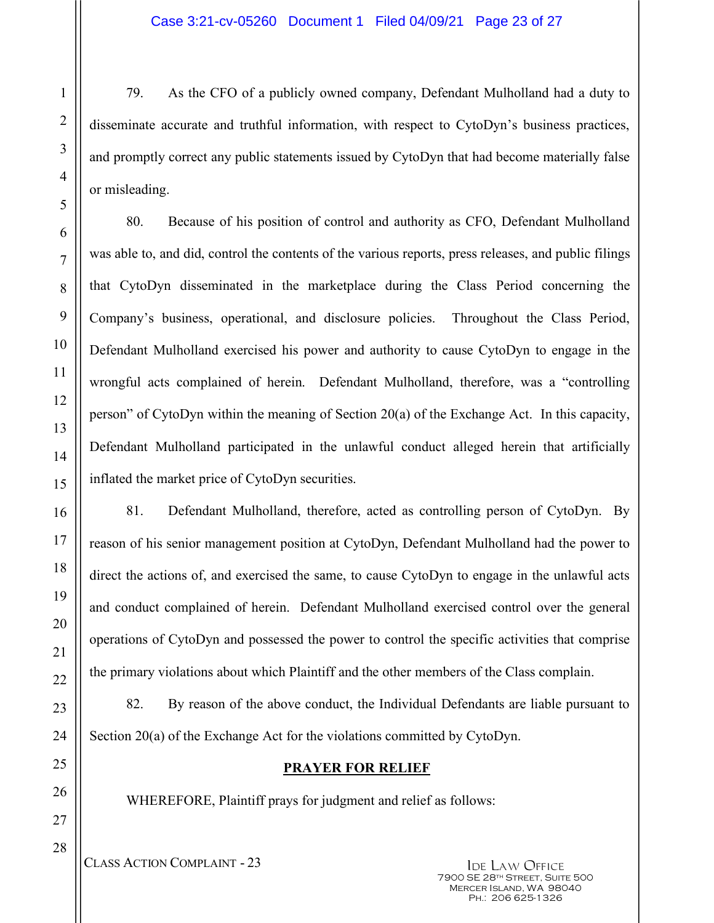79. As the CFO of a publicly owned company, Defendant Mulholland had a duty to disseminate accurate and truthful information, with respect to CytoDyn's business practices, and promptly correct any public statements issued by CytoDyn that had become materially false or misleading.

80. Because of his position of control and authority as CFO, Defendant Mulholland was able to, and did, control the contents of the various reports, press releases, and public filings that CytoDyn disseminated in the marketplace during the Class Period concerning the Company's business, operational, and disclosure policies. Throughout the Class Period, Defendant Mulholland exercised his power and authority to cause CytoDyn to engage in the wrongful acts complained of herein. Defendant Mulholland, therefore, was a "controlling person" of CytoDyn within the meaning of Section 20(a) of the Exchange Act. In this capacity, Defendant Mulholland participated in the unlawful conduct alleged herein that artificially inflated the market price of CytoDyn securities.

81. Defendant Mulholland, therefore, acted as controlling person of CytoDyn. By reason of his senior management position at CytoDyn, Defendant Mulholland had the power to direct the actions of, and exercised the same, to cause CytoDyn to engage in the unlawful acts and conduct complained of herein. Defendant Mulholland exercised control over the general operations of CytoDyn and possessed the power to control the specific activities that comprise the primary violations about which Plaintiff and the other members of the Class complain.

82. By reason of the above conduct, the Individual Defendants are liable pursuant to Section 20(a) of the Exchange Act for the violations committed by CytoDyn.

## **PRAYER FOR RELIEF**

WHEREFORE, Plaintiff prays for judgment and relief as follows: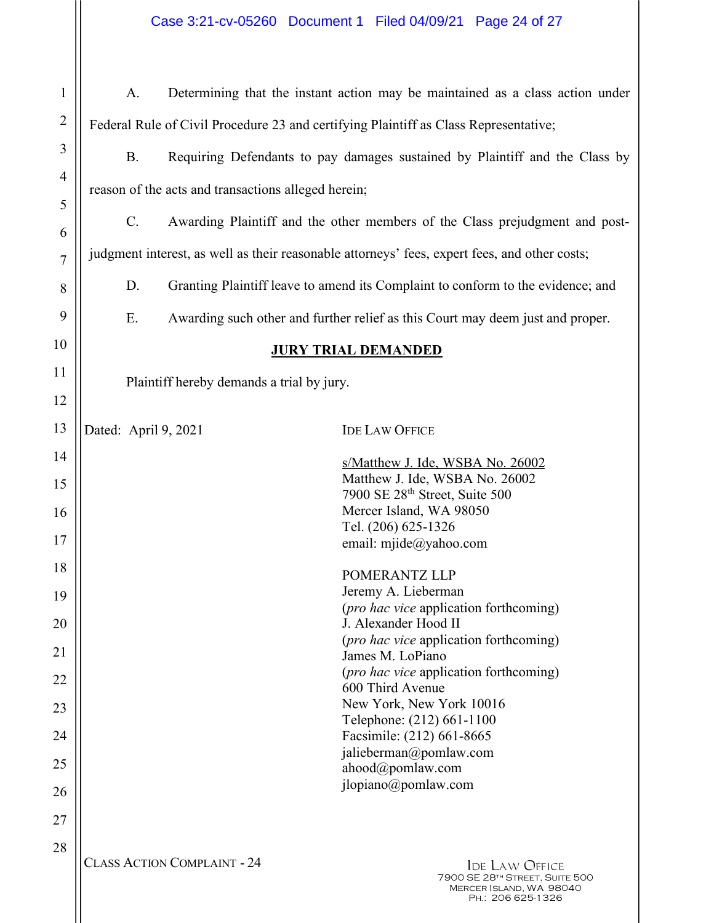| Case 3:21-cv-05260 Document 1 Filed 04/09/21 Page 24 of 27 |  |  |  |
|------------------------------------------------------------|--|--|--|
|------------------------------------------------------------|--|--|--|

| $\mathbf{1}$   | A.                                                                                            |                                    | Determining that the instant action may be maintained as a class action under                           |
|----------------|-----------------------------------------------------------------------------------------------|------------------------------------|---------------------------------------------------------------------------------------------------------|
| $\overline{2}$ | Federal Rule of Civil Procedure 23 and certifying Plaintiff as Class Representative;          |                                    |                                                                                                         |
| 3              | <b>B.</b><br>Requiring Defendants to pay damages sustained by Plaintiff and the Class by      |                                    |                                                                                                         |
| $\overline{4}$ | reason of the acts and transactions alleged herein;                                           |                                    |                                                                                                         |
| 5              | $C_{\cdot}$<br>Awarding Plaintiff and the other members of the Class prejudgment and post-    |                                    |                                                                                                         |
| 6              | judgment interest, as well as their reasonable attorneys' fees, expert fees, and other costs; |                                    |                                                                                                         |
| 7              | Granting Plaintiff leave to amend its Complaint to conform to the evidence; and               |                                    |                                                                                                         |
| 8              | D.                                                                                            |                                    |                                                                                                         |
| 9              | Ε.                                                                                            |                                    | Awarding such other and further relief as this Court may deem just and proper.                          |
| 10<br>11       |                                                                                               |                                    | <b>JURY TRIAL DEMANDED</b>                                                                              |
| 12             | Plaintiff hereby demands a trial by jury.                                                     |                                    |                                                                                                         |
| 13             | Dated: April 9, 2021                                                                          |                                    | <b>IDE LAW OFFICE</b>                                                                                   |
| 14             |                                                                                               |                                    |                                                                                                         |
| 15             |                                                                                               |                                    | s/Matthew J. Ide, WSBA No. 26002<br>Matthew J. Ide, WSBA No. 26002                                      |
| 16             |                                                                                               |                                    | 7900 SE 28th Street, Suite 500<br>Mercer Island, WA 98050                                               |
| 17             |                                                                                               |                                    | Tel. (206) 625-1326<br>email: mjide@yahoo.com                                                           |
| 18             |                                                                                               |                                    | POMERANTZ LLP                                                                                           |
| 19             |                                                                                               |                                    | Jeremy A. Lieberman<br>( <i>pro hac vice</i> application forthcoming)                                   |
| 20             |                                                                                               |                                    | J. Alexander Hood II                                                                                    |
| 21             |                                                                                               |                                    | ( <i>pro hac vice</i> application forthcoming)<br>James M. LoPiano                                      |
| 22             |                                                                                               |                                    | ( <i>pro hac vice</i> application forthcoming)<br>600 Third Avenue                                      |
| 23             |                                                                                               |                                    | New York, New York 10016<br>Telephone: (212) 661-1100                                                   |
| 24             |                                                                                               |                                    | Facsimile: (212) 661-8665<br>jalieberman@pomlaw.com                                                     |
| 25             |                                                                                               |                                    | ahood@pomlaw.com                                                                                        |
| 26             |                                                                                               |                                    | jlopiano@pomlaw.com                                                                                     |
| 27             |                                                                                               |                                    |                                                                                                         |
| 28             |                                                                                               | <b>CLASS ACTION COMPLAINT - 24</b> | <b>IDE LAW OFFICE</b><br>7900 SE 28TH STREET, SUITE 500<br>MERCER ISLAND, WA 98040<br>PH.: 206 625-1326 |